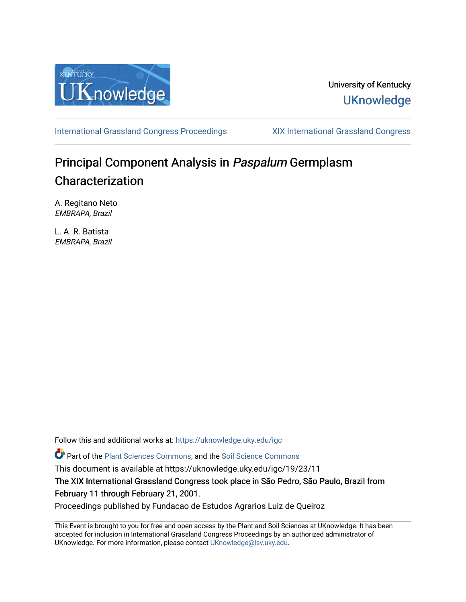

## University of Kentucky **UKnowledge**

[International Grassland Congress Proceedings](https://uknowledge.uky.edu/igc) [XIX International Grassland Congress](https://uknowledge.uky.edu/igc/19) 

# Principal Component Analysis in Paspalum Germplasm Characterization

A. Regitano Neto EMBRAPA, Brazil

L. A. R. Batista EMBRAPA, Brazil

Follow this and additional works at: [https://uknowledge.uky.edu/igc](https://uknowledge.uky.edu/igc?utm_source=uknowledge.uky.edu%2Figc%2F19%2F23%2F11&utm_medium=PDF&utm_campaign=PDFCoverPages) 

Part of the [Plant Sciences Commons](http://network.bepress.com/hgg/discipline/102?utm_source=uknowledge.uky.edu%2Figc%2F19%2F23%2F11&utm_medium=PDF&utm_campaign=PDFCoverPages), and the [Soil Science Commons](http://network.bepress.com/hgg/discipline/163?utm_source=uknowledge.uky.edu%2Figc%2F19%2F23%2F11&utm_medium=PDF&utm_campaign=PDFCoverPages) 

This document is available at https://uknowledge.uky.edu/igc/19/23/11

The XIX International Grassland Congress took place in São Pedro, São Paulo, Brazil from February 11 through February 21, 2001.

Proceedings published by Fundacao de Estudos Agrarios Luiz de Queiroz

This Event is brought to you for free and open access by the Plant and Soil Sciences at UKnowledge. It has been accepted for inclusion in International Grassland Congress Proceedings by an authorized administrator of UKnowledge. For more information, please contact [UKnowledge@lsv.uky.edu](mailto:UKnowledge@lsv.uky.edu).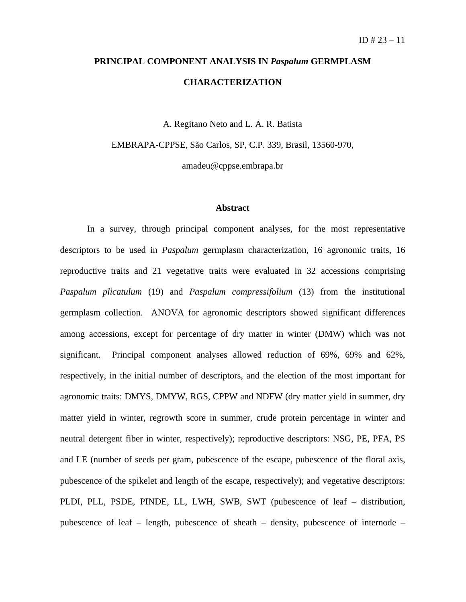# **PRINCIPAL COMPONENT ANALYSIS IN** *Paspalum* **GERMPLASM CHARACTERIZATION**

A. Regitano Neto and L. A. R. Batista

EMBRAPA-CPPSE, São Carlos, SP, C.P. 339, Brasil, 13560-970,

amadeu@cppse.embrapa.br

### **Abstract**

In a survey, through principal component analyses, for the most representative descriptors to be used in *Paspalum* germplasm characterization, 16 agronomic traits, 16 reproductive traits and 21 vegetative traits were evaluated in 32 accessions comprising *Paspalum plicatulum* (19) and *Paspalum compressifolium* (13) from the institutional germplasm collection. ANOVA for agronomic descriptors showed significant differences among accessions, except for percentage of dry matter in winter (DMW) which was not significant. Principal component analyses allowed reduction of 69%, 69% and 62%, respectively, in the initial number of descriptors, and the election of the most important for agronomic traits: DMYS, DMYW, RGS, CPPW and NDFW (dry matter yield in summer, dry matter yield in winter, regrowth score in summer, crude protein percentage in winter and neutral detergent fiber in winter, respectively); reproductive descriptors: NSG, PE, PFA, PS and LE (number of seeds per gram, pubescence of the escape, pubescence of the floral axis, pubescence of the spikelet and length of the escape, respectively); and vegetative descriptors: PLDI, PLL, PSDE, PINDE, LL, LWH, SWB, SWT (pubescence of leaf – distribution, pubescence of leaf – length, pubescence of sheath – density, pubescence of internode –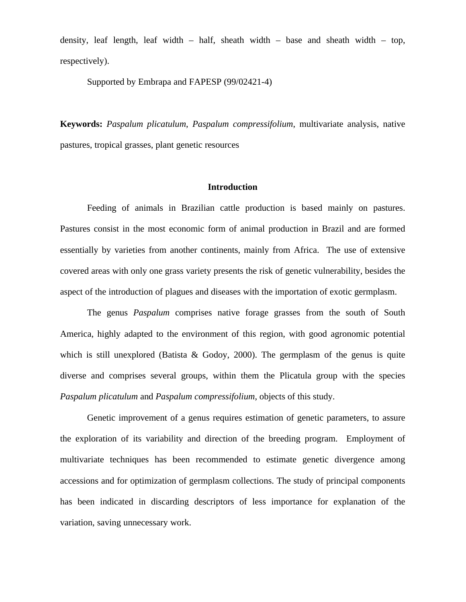density, leaf length, leaf width – half, sheath width – base and sheath width – top, respectively).

Supported by Embrapa and FAPESP (99/02421-4)

**Keywords:** *Paspalum plicatulum*, *Paspalum compressifolium*, multivariate analysis, native pastures, tropical grasses, plant genetic resources

#### **Introduction**

Feeding of animals in Brazilian cattle production is based mainly on pastures. Pastures consist in the most economic form of animal production in Brazil and are formed essentially by varieties from another continents, mainly from Africa. The use of extensive covered areas with only one grass variety presents the risk of genetic vulnerability, besides the aspect of the introduction of plagues and diseases with the importation of exotic germplasm.

The genus *Paspalum* comprises native forage grasses from the south of South America, highly adapted to the environment of this region, with good agronomic potential which is still unexplored (Batista & Godoy, 2000). The germplasm of the genus is quite diverse and comprises several groups, within them the Plicatula group with the species *Paspalum plicatulum* and *Paspalum compressifolium*, objects of this study.

Genetic improvement of a genus requires estimation of genetic parameters, to assure the exploration of its variability and direction of the breeding program. Employment of multivariate techniques has been recommended to estimate genetic divergence among accessions and for optimization of germplasm collections. The study of principal components has been indicated in discarding descriptors of less importance for explanation of the variation, saving unnecessary work.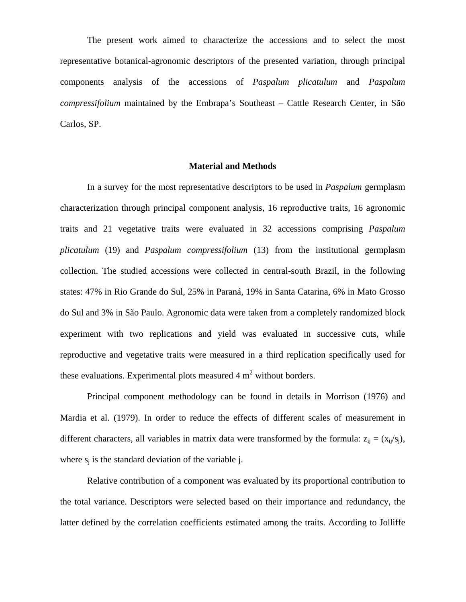The present work aimed to characterize the accessions and to select the most representative botanical-agronomic descriptors of the presented variation, through principal components analysis of the accessions of *Paspalum plicatulum* and *Paspalum compressifolium* maintained by the Embrapa's Southeast – Cattle Research Center, in São Carlos, SP.

## **Material and Methods**

In a survey for the most representative descriptors to be used in *Paspalum* germplasm characterization through principal component analysis, 16 reproductive traits, 16 agronomic traits and 21 vegetative traits were evaluated in 32 accessions comprising *Paspalum plicatulum* (19) and *Paspalum compressifolium* (13) from the institutional germplasm collection. The studied accessions were collected in central-south Brazil, in the following states: 47% in Rio Grande do Sul, 25% in Paraná, 19% in Santa Catarina, 6% in Mato Grosso do Sul and 3% in São Paulo. Agronomic data were taken from a completely randomized block experiment with two replications and yield was evaluated in successive cuts, while reproductive and vegetative traits were measured in a third replication specifically used for these evaluations. Experimental plots measured  $4 \text{ m}^2$  without borders.

Principal component methodology can be found in details in Morrison (1976) and Mardia et al. (1979). In order to reduce the effects of different scales of measurement in different characters, all variables in matrix data were transformed by the formula:  $z_{ij} = (x_{ij}/s_j)$ , where  $s_i$  is the standard deviation of the variable j.

Relative contribution of a component was evaluated by its proportional contribution to the total variance. Descriptors were selected based on their importance and redundancy, the latter defined by the correlation coefficients estimated among the traits. According to Jolliffe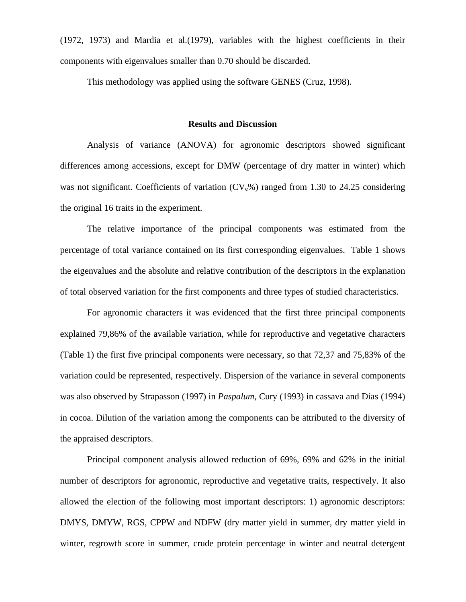(1972, 1973) and Mardia et al.(1979), variables with the highest coefficients in their components with eigenvalues smaller than 0.70 should be discarded.

This methodology was applied using the software GENES (Cruz, 1998).

#### **Results and Discussion**

Analysis of variance (ANOVA) for agronomic descriptors showed significant differences among accessions, except for DMW (percentage of dry matter in winter) which was not significant. Coefficients of variation  $(CV<sub>e</sub>%)$  ranged from 1.30 to 24.25 considering the original 16 traits in the experiment.

The relative importance of the principal components was estimated from the percentage of total variance contained on its first corresponding eigenvalues. Table 1 shows the eigenvalues and the absolute and relative contribution of the descriptors in the explanation of total observed variation for the first components and three types of studied characteristics.

For agronomic characters it was evidenced that the first three principal components explained 79,86% of the available variation, while for reproductive and vegetative characters (Table 1) the first five principal components were necessary, so that 72,37 and 75,83% of the variation could be represented, respectively. Dispersion of the variance in several components was also observed by Strapasson (1997) in *Paspalum*, Cury (1993) in cassava and Dias (1994) in cocoa. Dilution of the variation among the components can be attributed to the diversity of the appraised descriptors.

Principal component analysis allowed reduction of 69%, 69% and 62% in the initial number of descriptors for agronomic, reproductive and vegetative traits, respectively. It also allowed the election of the following most important descriptors: 1) agronomic descriptors: DMYS, DMYW, RGS, CPPW and NDFW (dry matter yield in summer, dry matter yield in winter, regrowth score in summer, crude protein percentage in winter and neutral detergent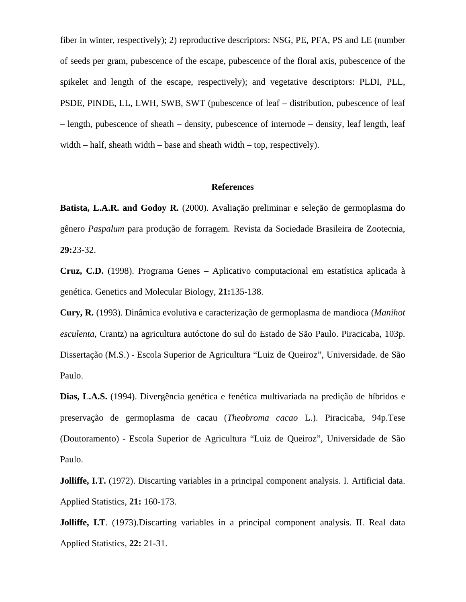fiber in winter, respectively); 2) reproductive descriptors: NSG, PE, PFA, PS and LE (number of seeds per gram, pubescence of the escape, pubescence of the floral axis, pubescence of the spikelet and length of the escape, respectively); and vegetative descriptors: PLDI, PLL, PSDE, PINDE, LL, LWH, SWB, SWT (pubescence of leaf – distribution, pubescence of leaf – length, pubescence of sheath – density, pubescence of internode – density, leaf length, leaf width  $-$  half, sheath width  $-$  base and sheath width  $-$  top, respectively).

#### **References**

**Batista, L.A.R. and Godoy R.** (2000). Avaliação preliminar e seleção de germoplasma do gênero *Paspalum* para produção de forragem*.* Revista da Sociedade Brasileira de Zootecnia, **29:**23-32.

**Cruz, C.D.** (1998). Programa Genes – Aplicativo computacional em estatística aplicada à genética. Genetics and Molecular Biology, **21:**135-138.

**Cury, R.** (1993). Dinâmica evolutiva e caracterização de germoplasma de mandioca (*Manihot esculenta,* Crantz) na agricultura autóctone do sul do Estado de São Paulo. Piracicaba, 103p. Dissertação (M.S.) - Escola Superior de Agricultura "Luiz de Queiroz", Universidade. de São Paulo.

**Dias, L.A.S.** (1994). Divergência genética e fenética multivariada na predição de híbridos e preservação de germoplasma de cacau (*Theobroma cacao* L.). Piracicaba, 94p.Tese (Doutoramento) - Escola Superior de Agricultura "Luiz de Queiroz", Universidade de São Paulo.

**Jolliffe, I.T.** (1972). Discarting variables in a principal component analysis. I. Artificial data. Applied Statistics, **21:** 160-173.

**Jolliffe, I.T.** (1973).Discarting variables in a principal component analysis. II. Real data Applied Statistics, **22:** 21-31.